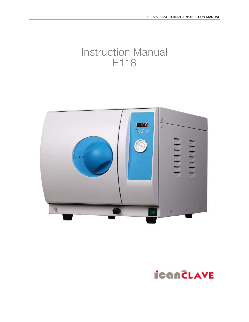# Instruction Manual E118



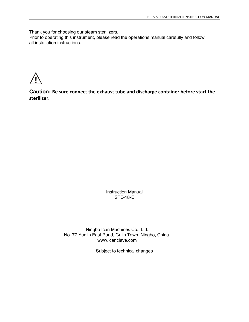Thank you for choosing our steam sterilizers.

Prior to operating this instrument, please read the operations manual carefully and follow all installation instructions.



**Caution: Be sure connect the exhaust tube and discharge container before start the sterilizer.**

> Instruction Manual STE-18-E

Ningbo Ican Machines Co., Ltd. No. 77 Yunlin East Road, Gulin Town, Ningbo, China. www.icanclave.com

Subject to technical changes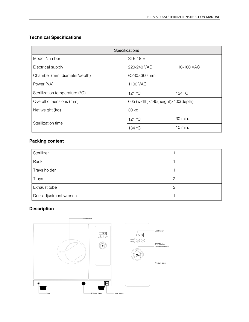# **Technical Specifications**

| Specifications                 |                                    |             |  |
|--------------------------------|------------------------------------|-------------|--|
| Model Number                   | <b>STE-18-E</b>                    |             |  |
| Electrical supply              | 220-240 VAC                        | 110-100 VAC |  |
| Chamber (mm, diameter/depth)   | Ø230×360 mm                        |             |  |
| Power (VA)                     | 1100 VAC                           |             |  |
| Sterilization temperature (°C) | 121 °C                             | 134 °C      |  |
| Overall dimensions (mm)        | 605 (width)x445(height)x400(depth) |             |  |
| Net weight (kg)                | 30 kg                              |             |  |
| Sterilization time             | 121 °C                             | 30 min.     |  |
|                                | 134 °C                             | $10$ min.   |  |

# **Packing content**

| Sterilizer             |   |
|------------------------|---|
| Rack                   |   |
| Trays holder           |   |
| Trays                  | ◠ |
| Exhaust tube           |   |
| Dorr adjustment wrench |   |

# **Description**

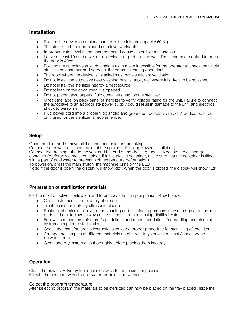# **Installation**

- Position the device on a plane surface with minimum capacity 60 Kg.
- The sterilizer should be placed on a level worktable.
- Improper water level in the chamber could cause a sterilizer malfunction.
- Leave at least 10 cm between the device rear part and the wall. The clearance required to open the door is 40cm.
- Position the autoclave at such a height as to make it possible for the operator to check the whole sterilization chamber and carry out the normal cleaning operations.
- The room where the device is installed must have sufficient ventilation.
- Do not install the autoclave near washing basins, taps, etc. where it is likely to be splashed.
- Do not install the sterilizer nearby a heat source.
- Do not lean on the door when it is opened.
- Do not place trays, papers, fluid containers, etc. on the sterilizer.
- Check the label on back panel of sterilizer to verify voltage rating for the unit. Failure to connect the autoclave to an appropriate power supply could result in damage to the unit, and electrical shock to personnel.
- Plug power cord into a properly polarized and grounded receptacle rated. A dedicated circuit only used for the sterilizer is recommended.

## **Setup**

Open the door and remove all the inner contents for unpacking.

Connect the power cord to an outlet of the appropriate voltage. (See installation).

Connect the draining tube to the vent and the end of the draining tube is fixed into the discharge container (preferably a metal container; if it is a plastic container, make sure that the container is filled with a part of cold water to prevent high temperature deformation).

To power on, press the main switch, the machine turns on the LED.

Note: If the door is open, the display will show "do"; When the door is closed, the display will show "Ld".

#### **Preparation of sterilization materials**

For the most effective sterilization and to preserve the sample, please follow below:

- Clean instruments immediately after use.
- Treat the instruments by ultrasonic cleaner.
- Residual chemicals left over after cleaning and disinfecting process may damage and corrode parts of the autoclave, always rinse off the instruments using distilled water.
- Follow instrument manufacturer's guidelines and recommendations for handling and cleaning instruments prior to sterilization.
- Check the manufacturer' s instructions as to the proper procedure for sterilizing of each item.
- Arrange the samples of different materials on different trays or with at least 3cm of space between them.
- Clean and dry instruments thoroughly before placing them into tray.

## **Operation**

Close the exhaust valve by turning it clockwise to the maximum position. Fill with the chamber with distilled water (or deionized water).

#### Select the program temperature.

After selecting program, the materials to be sterilized can now be placed on the tray placed inside the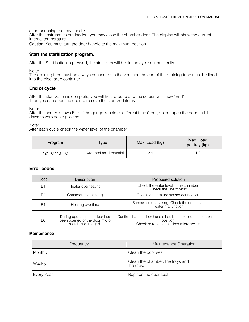chamber using the tray handle.

After the instruments are loaded, you may close the chamber door. The display will show the current internal temperature.

Caution: You must turn the door handle to the maximum position.

### **Start the sterilization program.**

After the Start button is pressed, the sterilizers will begin the cycle automatically.

Note:

The draining tube must be always connected to the vent and the end of the draining tube must be fixed into the discharge container.

## **End of cycle**

After the sterilization is complete, you will hear a beep and the screen will show "End". Then you can open the door to remove the sterilized items.

Note:

After the screen shows End, if the gauge is pointer different than 0 bar, do not open the door until it down to zero-scale position.

Note:

After each cycle check the water level of the chamber.

| Program         | Type                     | Max. Load (kg) | Max. Load<br>per tray (kg) |
|-----------------|--------------------------|----------------|----------------------------|
| 121 °C / 134 °C | Unwrapped solid material |                | 1.2                        |

#### **Error codes**

| Code           | Description                                                                           | Proposed solution                                                                                                  |
|----------------|---------------------------------------------------------------------------------------|--------------------------------------------------------------------------------------------------------------------|
| E <sub>1</sub> | Heater overheating                                                                    | Check the water level in the chamber.<br>Chack the Thermostat                                                      |
| E <sub>2</sub> | Chamber overheating                                                                   | Check temperature sensor connection.                                                                               |
| E4             | Heating overtime                                                                      | Somewhere is leaking. Check the door seal.<br>Heater malfunction.                                                  |
| E <sub>6</sub> | During operation, the door has<br>been opened or the door micro<br>switch is damaged. | Confirm that the door handle has been closed to the maximum<br>position.<br>Check or replace the door micro switch |

#### **Maintenance**

| Frequency  | Maintenance Operation                         |
|------------|-----------------------------------------------|
| Monthly    | Clean the door seal.                          |
| Weekly     | Clean the chamber, the trays and<br>the rack. |
| Every Year | Replace the door seal.                        |